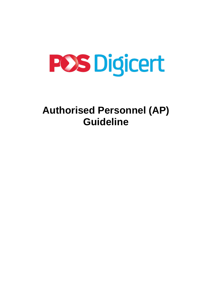

# **Authorised Personnel (AP) Guideline**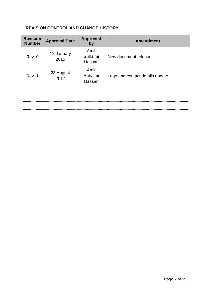# **REVISION CONTROL AND CHANGE HISTORY**

| <b>Revision</b><br><b>Number</b> | <b>Approval Date</b> | <b>Approved</b><br>by     | <b>Amendment</b>                |
|----------------------------------|----------------------|---------------------------|---------------------------------|
| Rev. 0                           | 12 January<br>2015   | Amir<br>Suhaimi<br>Hassan | New document release            |
| Rev. 1                           | 23 August<br>2017    | Amir<br>Suhaimi<br>Hassan | Logo and contact details update |
|                                  |                      |                           |                                 |
|                                  |                      |                           |                                 |
|                                  |                      |                           |                                 |
|                                  |                      |                           |                                 |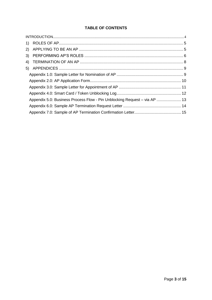# **TABLE OF CONTENTS**

| Appendix 5.0: Business Process Flow - Pin Unblocking Request - via AP  13 |
|---------------------------------------------------------------------------|
|                                                                           |
|                                                                           |
|                                                                           |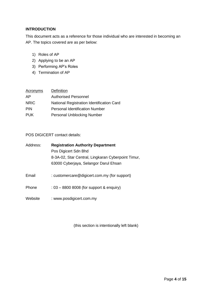## <span id="page-3-0"></span>**INTRODUCTION**

This document acts as a reference for those individual who are interested in becoming an AP. The topics covered are as per below:

- 1) Roles of AP
- 2) Applying to be an AP
- 3) Performing AP's Roles
- 4) Termination of AP

| Acronyms    | <b>Definition</b>                         |
|-------------|-------------------------------------------|
| AP          | <b>Authorised Personnel</b>               |
| <b>NRIC</b> | National Registration Identification Card |
| <b>PIN</b>  | <b>Personal Identification Number</b>     |
| <b>PUK</b>  | <b>Personal Unblocking Number</b>         |

POS DIGICERT contact details:

| Address: | <b>Registration Authority Department</b>           |
|----------|----------------------------------------------------|
|          | Pos Digicert Sdn Bhd                               |
|          | 8-3A-02, Star Central, Lingkaran Cyberpoint Timur, |
|          | 63000 Cyberjaya, Selangor Darul Ehsan              |
| Email    | : customercare@digicert.com.my (for support)       |
| Phone    | $: 03 - 8800 8008$ (for support & enquiry)         |
| Website  | : www.posdigicert.com.my                           |

(this section is intentionally left blank)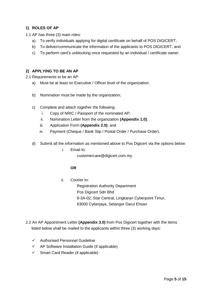## <span id="page-4-0"></span>**1) ROLES OF AP**

- 1.1 AP has three (3) main roles:
	- a) To verify individuals applying for digital certificate on behalf of POS DIGICERT;
	- b) To deliver/communicate the information of the applicants to POS DIGICERT; and
	- c) To perform card's unblocking once requested by an individual / certificate owner.

#### <span id="page-4-1"></span>**2) APPLYING TO BE AN AP**

2.1 Requirements to be an AP:

- a) Must be at least on Executive / Officer level of the organization;
- b) Nomination must be made by the organization;
- c) Complete and attach together the following:
	- i. Copy of NRIC / Passport of the nominated AP;
	- ii. Nomination Letter from the organization **(Appendix 1.0)**;
	- iii. Application Form **(Appendix 2.0)**; and
	- iv. Payment (Cheque / Bank Slip / Postal Order / Purchase Order).
- d) Submit all the information as mentioned above to Pos Digicert via the options below:

i. Email to:

customercare@digicert.com.my

#### **OR**

- ii. Courier to: Registration Authority Department Pos Digicert Sdn Bhd 8-3A-02, Star Central, Lingkaran Cyberpoint Timur, 63000 Cyberjaya, Selangor Darul Ehsan
- 2.2 An AP Appointment Letter **(Appendix 3.0)** from Pos Digicert together with the items listed below shall be mailed to the applicants within three (3) working days:
	- $\checkmark$  Authorised Personnel Guideline
	- $\checkmark$  AP Software Installation Guide (if applicable)
	- $\checkmark$  Smart Card Reader (if applicable)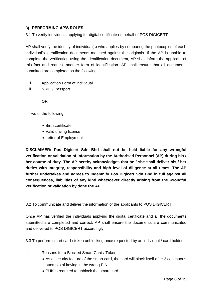## <span id="page-5-0"></span>**3) PERFORMING AP'S ROLES**

3.1 To verify individuals applying for digital certificate on behalf of POS DIGICERT

AP shall verify the identity of individual(s) who applies by comparing the photocopies of each individual's identification documents matched against the originals. If the AP is unable to complete the verification using the identification document, AP shall inform the applicant of this fact and request another form of identification. AP shall ensure that all documents submitted are completed as the following:

- i. Application Form of individual
- ii. NRIC / Passport

**OR**

Two of the following:

- Birth certificate
- Valid driving license
- Letter of Employment

**DISCLAIMER: Pos Digicert Sdn Bhd shall not be held liable for any wrongful verification or validation of information by the Authorised Personnel (AP) during his / her course of duty. The AP hereby acknowledges that he / she shall deliver his / her duties with integrity, responsibility and high level of diligence at all times. The AP further undertakes and agrees to indemnify Pos Digicert Sdn Bhd in full against all consequences, liabilities of any kind whatsoever directly arising from the wrongful verification or validation by done the AP.**

3.2 To communicate and deliver the information of the applicants to POS DIGICERT

Once AP has verified the individuals applying the digital certificate and all the documents submitted are completed and correct, AP shall ensure the documents are communicated and delivered to POS DIGICERT accordingly.

3.3 To perform smart card / token unblocking once requested by an individual / card holder

- i. Reasons for a Blocked Smart Card / Token:
	- As a security feature of the smart card, the card will block itself after 3 continuous attempts of keying in the wrong PIN.
	- PUK is required to unblock the smart card.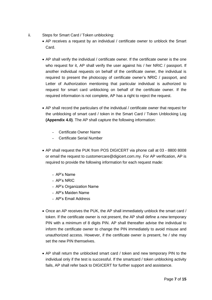- ii. Steps for Smart Card / Token unblocking:
	- AP receives a request by an individual / certificate owner to unblock the Smart Card.
	- AP shall verify the individual / certificate owner. If the certificate owner is the one who request for it, AP shall verify the user against his / her NRIC / passport. If another individual requests on behalf of the certificate owner, the individual is required to present the photocopy of certificate owner's NRIC / passport, and Letter of Authorization mentioning that particular individual is authorized to request for smart card unblocking on behalf of the certificate owner. If the required information is not complete, AP has a right to reject the request.
	- AP shall record the particulars of the individual / certificate owner that request for the unblocking of smart card / token in the Smart Card / Token Unblocking Log **(Appendix 4.0)**. The AP shall capture the following information:
		- Certificate Owner Name
		- Certificate Serial Number
	- AP shall request the PUK from POS DIGICERT via phone call at 03 8800 8008 or email the request to customercare@digicert.com.my. For AP verification, AP is required to provide the following information for each request made:
		- AP's Name
		- AP's NRIC
		- AP's Organization Name
		- AP's Maiden Name
		- AP's Email Address
	- Once an AP receives the PUK, the AP shall immediately unblock the smart card / token. If the certificate owner is not present, the AP shall define a new temporary PIN with a minimum of 8 digits PIN. AP shall thereafter advise the individual to inform the certificate owner to change the PIN immediately to avoid misuse and unauthorized access. However, if the certificate owner is present, he / she may set the new PIN themselves.
	- AP shall return the unblocked smart card / token and new temporary PIN to the individual only if the test is successful. If the smartcard / token unblocking activity fails, AP shall refer back to DIGICERT for further support and assistance.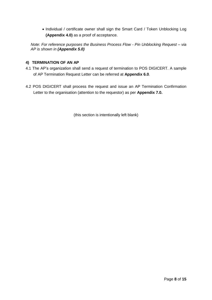• Individual / certificate owner shall sign the Smart Card / Token Unblocking Log **(Appendix 4.0)** as a proof of acceptance.

*Note: For reference purposes the Business Process Flow - Pin Unblocking Request – via AP is shown in (Appendix 5.0)*

## <span id="page-7-0"></span>**4) TERMINATION OF AN AP**

- 4.1 The AP's organization shall send a request of termination to POS DIGICERT. A sample of AP Termination Request Letter can be referred at **Appendix 6.0**.
- 4.2 POS DIGICERT shall process the request and issue an AP Termination Confirmation Letter to the organisation (attention to the requestor) as per **Appendix 7.0.**

(this section is intentionally left blank)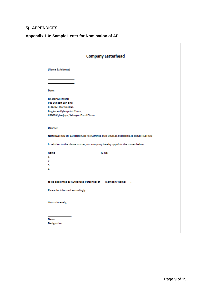## <span id="page-8-0"></span>**5) APPENDICES**

# <span id="page-8-1"></span>**Appendix 1.0: Sample Letter for Nomination of AP**

|                                                                              | <b>Company Letterhead</b> |  |
|------------------------------------------------------------------------------|---------------------------|--|
| (Name & Address)                                                             |                           |  |
|                                                                              |                           |  |
|                                                                              |                           |  |
| Date:                                                                        |                           |  |
| <b>RA DEPARTMENT</b>                                                         |                           |  |
| Pos Digicert Sdn Bhd                                                         |                           |  |
| 8-3A-02, Star Central,                                                       |                           |  |
| Lingkaran Cyberpoint Timur,                                                  |                           |  |
| 63000 Cyberjaya, Selangor Darul Ehsan                                        |                           |  |
| Dear Sir,                                                                    |                           |  |
| NOMINATION OF AUTHORISED PERSONNEL FOR DIGITAL CERTIFICATE REGISTRATION      |                           |  |
| In relation to the above matter, our company hereby appoints the names below |                           |  |
| Name                                                                         | IC No.                    |  |
| 1.                                                                           |                           |  |
| 2.                                                                           |                           |  |
| з.<br>4.                                                                     |                           |  |
|                                                                              |                           |  |
| to be appointed as Authorised Personnel of [Company Name]                    |                           |  |
| Please be informed accordingly.                                              |                           |  |
| Yours sincerely,                                                             |                           |  |
|                                                                              |                           |  |
|                                                                              |                           |  |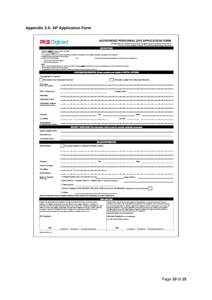<span id="page-9-0"></span>

| <b>POS Digicert</b>                                                            |                                                                                                                                                                                                                               | <b>AUTHORISED PERSONNEL (AP) APPLICATION FORM</b><br>For District Sdr. Bol. (4076045) (formerly known as Olyton) Sdr. Bol.) Stema No. (787-1/2028-(3)<br>84.602, San Cantral, Linghamm Cylemystint Timur, 65.000 Cylem(aye, Salanger Carol Finan |
|--------------------------------------------------------------------------------|-------------------------------------------------------------------------------------------------------------------------------------------------------------------------------------------------------------------------------|--------------------------------------------------------------------------------------------------------------------------------------------------------------------------------------------------------------------------------------------------|
|                                                                                |                                                                                                                                                                                                                               | <b>STRUCTION</b>                                                                                                                                                                                                                                 |
| + Applicant MLET by above 18 years old of age.<br>+ MJD complete ALL sections. |                                                                                                                                                                                                                               |                                                                                                                                                                                                                                                  |
| + Plasse environ photocopies of the following:                                 | . This application shall only be valid if the klumby methodism is successful and the digital certificate is accepted by the subscriber.                                                                                       |                                                                                                                                                                                                                                                  |
| (c) DMT(3) of the followings:<br>[ Photocopy of NRC (both sides)               | <b>Service</b>                                                                                                                                                                                                                | (b) Latter of Authorization (application conferration from organization)                                                                                                                                                                         |
| Il Protocopy of Fasquet<br><b>POINT</b>                                        |                                                                                                                                                                                                                               |                                                                                                                                                                                                                                                  |
| (e) Profosal documents are non-returnable.                                     | (c) For orders and postal application photosopy of NRC / Penaport MUCT be certified investigg by the organization's Head of Department / Director.                                                                            |                                                                                                                                                                                                                                                  |
|                                                                                | (c) Organization shall holistic Companies, Government Institut, Propositi Institutions, NGC, etc.                                                                                                                             |                                                                                                                                                                                                                                                  |
|                                                                                | <b>RIMPORTANT TRONG B</b><br><b>CLUB TO:</b><br><b>TOP</b>                                                                                                                                                                    | <b>IN CAPITAL LETTERS</b>                                                                                                                                                                                                                        |
| This application is made for:                                                  | Nomination of an Authorised Personnel                                                                                                                                                                                         | Information Update of an Authorized Personnel                                                                                                                                                                                                    |
|                                                                                |                                                                                                                                                                                                                               |                                                                                                                                                                                                                                                  |
| AP's Name<br>(mpe MIC/Parpel)                                                  |                                                                                                                                                                                                                               |                                                                                                                                                                                                                                                  |
|                                                                                |                                                                                                                                                                                                                               | ᅩ<br>ᆚ<br>ᆂ<br>___                                                                                                                                                                                                                               |
| NRIC / Passport No.                                                            |                                                                                                                                                                                                                               | Project's Name                                                                                                                                                                                                                                   |
| <b>National</b> ly                                                             | ı<br>ᆂ                                                                                                                                                                                                                        | ᅩ<br>a                                                                                                                                                                                                                                           |
| <b>Organization Name</b>                                                       |                                                                                                                                                                                                                               |                                                                                                                                                                                                                                                  |
| Organisation Address<br>(for device delivery payment)                          |                                                                                                                                                                                                                               | л                                                                                                                                                                                                                                                |
|                                                                                |                                                                                                                                                                                                                               |                                                                                                                                                                                                                                                  |
|                                                                                |                                                                                                                                                                                                                               |                                                                                                                                                                                                                                                  |
| Postcode                                                                       | City                                                                                                                                                                                                                          | <b>State</b>                                                                                                                                                                                                                                     |
| Tel (Office)                                                                   | ο.<br>٠<br>٠<br>ᆂ<br>٠<br>a.<br>ᆂ                                                                                                                                                                                             | TH BUPS<br>٠<br>×.                                                                                                                                                                                                                               |
| Email Address<br>the continuity material                                       | ᆂ                                                                                                                                                                                                                             |                                                                                                                                                                                                                                                  |
|                                                                                | <b>SECURITY QUESTIONS (This into</b>                                                                                                                                                                                          | n shall be used for security verification pur                                                                                                                                                                                                    |
| Mother's Maklen Name                                                           |                                                                                                                                                                                                                               |                                                                                                                                                                                                                                                  |
| <b>Favourite Food</b>                                                          |                                                                                                                                                                                                                               |                                                                                                                                                                                                                                                  |
| 1st Primary School                                                             |                                                                                                                                                                                                                               |                                                                                                                                                                                                                                                  |
|                                                                                |                                                                                                                                                                                                                               | <b>BILLING INFORMATION</b>                                                                                                                                                                                                                       |
| <b>Billing Address</b>                                                         | Use same address in Customer Information Section                                                                                                                                                                              |                                                                                                                                                                                                                                                  |
|                                                                                |                                                                                                                                                                                                                               |                                                                                                                                                                                                                                                  |
|                                                                                |                                                                                                                                                                                                                               |                                                                                                                                                                                                                                                  |
|                                                                                | ∸<br>∸                                                                                                                                                                                                                        |                                                                                                                                                                                                                                                  |
| Postcode                                                                       | Cly                                                                                                                                                                                                                           | <b>State:</b>                                                                                                                                                                                                                                    |
| Person in Charge                                                               | ______                                                                                                                                                                                                                        |                                                                                                                                                                                                                                                  |
| Tel (Office)                                                                   | .<br>┙<br>٠                                                                                                                                                                                                                   |                                                                                                                                                                                                                                                  |
| Email Address                                                                  | ٠<br>-1.<br>ᅩ<br>ᅩ<br>┸<br>ᅩ<br>ᅩ<br>┸<br>ᅩ<br>ᅩ<br>ᅩ                                                                                                                                                                         | ┚<br>┸<br>л<br>л<br>ı<br>л<br>л                                                                                                                                                                                                                  |
| Mode of Payment<br>the MVR series                                              | 1. Cheque Number (essette Not biocent sox, ted.) :                                                                                                                                                                            | Name of Bank:                                                                                                                                                                                                                                    |
|                                                                                | 2. Bank Draft No. / Puchase Order No. / Postal Order No. (Edward engineers)                                                                                                                                                   |                                                                                                                                                                                                                                                  |
|                                                                                | 3. Cash Amount:                                                                                                                                                                                                               |                                                                                                                                                                                                                                                  |
|                                                                                | 4. Bank In: Payable to POS DIGICERT SEN. BHD. HSBC Account No. 001480443021 (Peace start a spy of the last in sig)                                                                                                            |                                                                                                                                                                                                                                                  |
|                                                                                | 5. Others:                                                                                                                                                                                                                    |                                                                                                                                                                                                                                                  |
|                                                                                | <b>J to AP 14</b>                                                                                                                                                                                                             |                                                                                                                                                                                                                                                  |
|                                                                                |                                                                                                                                                                                                                               | <b>DECLARATION</b>                                                                                                                                                                                                                               |
|                                                                                | Lagree to be responsible on the verification through the physical examination of the documents /<br>applicant. Fox Digitors fain Bhd shall not be held failer for any unsingled verification or validation of                 | handle confirm that all the information given for this application is true and a country and I have not<br>withhold any information that would after the acceptance of this application. As an its freebast Personnel,                           |
|                                                                                | Information by the Authorized Personnel during his / her course of staty. I handing a domain depth of 1 shall<br>dative my dates with integrity, responsibility and high lanel of diligence at all times. I further undertake | to / should be responsible on contificate registration, application and PIN criticaling for our company. By<br>signing this application form, we are agreeable to be bound by the terms and conditions as sitpulated in                          |
|                                                                                | and agree to indensify Pox Digitori Sdr Bhd in full against all consequences, liabilities of any kind<br>whatsoever directly arising from the wrongful verification or validation done by me.                                 | the Olghal Signature Act 1867, Olghal Signature Regulation 1868 and Pos Olghard Sale Shaft Confinance<br>Frentie Batement (CFQ. The CFC can be found in our unballs at                                                                           |
|                                                                                |                                                                                                                                                                                                                               | https://www.alphart.com.mp/inpository/go                                                                                                                                                                                                         |
|                                                                                |                                                                                                                                                                                                                               | Authorized Signature (Fox the agencients)                                                                                                                                                                                                        |
|                                                                                |                                                                                                                                                                                                                               |                                                                                                                                                                                                                                                  |
| AP's Signature:                                                                |                                                                                                                                                                                                                               | (Los. West of Digital Manageral Director)                                                                                                                                                                                                        |
|                                                                                |                                                                                                                                                                                                                               | Date                                                                                                                                                                                                                                             |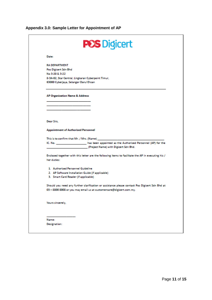# <span id="page-10-0"></span>**Appendix 3.0: Sample Letter for Appointment of AP**

| <b>Date:</b><br><b>RA DEPARTMENT</b><br>Pos Digicert Sdn Bhd<br>No 3-20 & 3-22<br>8-3A-02, Star Central, Lingkaran Cyberpoint Timur,<br>63000 Cyberjaya, Selangor Darul Ehsan<br>AP Organisation Name & Address<br>Dear Sirs.<br><b>Appointment of Authorised Personnel</b><br>This is to confirm that Mr. / Mrs. (Name) _____<br>IC. No. _______________________ has been appointed as the Authorised Personnel (AP) for the<br>(Project Name) with Digicert Sdn Bhd.<br>Enclosed together with this letter are the following items to facilitate the AP in executing his /<br>her duties:<br>1. Authorised Personnel Guideline<br>2. AP Software Installation Guide (if applicable)<br>3. Smart Card Reader (if applicable)<br>Should you need any further clarification or assistance please contact Pos Digicert Sdn Bhd at<br>03 - 8800 8008 or you may email us at customercare@digicert.com.my.<br>Yours sincerely,<br>Name:<br><b>Designation:</b> | <b>POS Digicert</b> |
|------------------------------------------------------------------------------------------------------------------------------------------------------------------------------------------------------------------------------------------------------------------------------------------------------------------------------------------------------------------------------------------------------------------------------------------------------------------------------------------------------------------------------------------------------------------------------------------------------------------------------------------------------------------------------------------------------------------------------------------------------------------------------------------------------------------------------------------------------------------------------------------------------------------------------------------------------------|---------------------|
|                                                                                                                                                                                                                                                                                                                                                                                                                                                                                                                                                                                                                                                                                                                                                                                                                                                                                                                                                            |                     |
|                                                                                                                                                                                                                                                                                                                                                                                                                                                                                                                                                                                                                                                                                                                                                                                                                                                                                                                                                            |                     |
|                                                                                                                                                                                                                                                                                                                                                                                                                                                                                                                                                                                                                                                                                                                                                                                                                                                                                                                                                            |                     |
|                                                                                                                                                                                                                                                                                                                                                                                                                                                                                                                                                                                                                                                                                                                                                                                                                                                                                                                                                            |                     |
|                                                                                                                                                                                                                                                                                                                                                                                                                                                                                                                                                                                                                                                                                                                                                                                                                                                                                                                                                            |                     |
|                                                                                                                                                                                                                                                                                                                                                                                                                                                                                                                                                                                                                                                                                                                                                                                                                                                                                                                                                            |                     |
|                                                                                                                                                                                                                                                                                                                                                                                                                                                                                                                                                                                                                                                                                                                                                                                                                                                                                                                                                            |                     |
|                                                                                                                                                                                                                                                                                                                                                                                                                                                                                                                                                                                                                                                                                                                                                                                                                                                                                                                                                            |                     |
|                                                                                                                                                                                                                                                                                                                                                                                                                                                                                                                                                                                                                                                                                                                                                                                                                                                                                                                                                            |                     |
|                                                                                                                                                                                                                                                                                                                                                                                                                                                                                                                                                                                                                                                                                                                                                                                                                                                                                                                                                            |                     |
|                                                                                                                                                                                                                                                                                                                                                                                                                                                                                                                                                                                                                                                                                                                                                                                                                                                                                                                                                            |                     |
|                                                                                                                                                                                                                                                                                                                                                                                                                                                                                                                                                                                                                                                                                                                                                                                                                                                                                                                                                            |                     |
|                                                                                                                                                                                                                                                                                                                                                                                                                                                                                                                                                                                                                                                                                                                                                                                                                                                                                                                                                            |                     |
|                                                                                                                                                                                                                                                                                                                                                                                                                                                                                                                                                                                                                                                                                                                                                                                                                                                                                                                                                            |                     |
|                                                                                                                                                                                                                                                                                                                                                                                                                                                                                                                                                                                                                                                                                                                                                                                                                                                                                                                                                            |                     |
|                                                                                                                                                                                                                                                                                                                                                                                                                                                                                                                                                                                                                                                                                                                                                                                                                                                                                                                                                            |                     |
|                                                                                                                                                                                                                                                                                                                                                                                                                                                                                                                                                                                                                                                                                                                                                                                                                                                                                                                                                            |                     |
|                                                                                                                                                                                                                                                                                                                                                                                                                                                                                                                                                                                                                                                                                                                                                                                                                                                                                                                                                            |                     |
|                                                                                                                                                                                                                                                                                                                                                                                                                                                                                                                                                                                                                                                                                                                                                                                                                                                                                                                                                            |                     |
|                                                                                                                                                                                                                                                                                                                                                                                                                                                                                                                                                                                                                                                                                                                                                                                                                                                                                                                                                            |                     |
|                                                                                                                                                                                                                                                                                                                                                                                                                                                                                                                                                                                                                                                                                                                                                                                                                                                                                                                                                            |                     |
|                                                                                                                                                                                                                                                                                                                                                                                                                                                                                                                                                                                                                                                                                                                                                                                                                                                                                                                                                            |                     |
|                                                                                                                                                                                                                                                                                                                                                                                                                                                                                                                                                                                                                                                                                                                                                                                                                                                                                                                                                            |                     |
|                                                                                                                                                                                                                                                                                                                                                                                                                                                                                                                                                                                                                                                                                                                                                                                                                                                                                                                                                            |                     |
|                                                                                                                                                                                                                                                                                                                                                                                                                                                                                                                                                                                                                                                                                                                                                                                                                                                                                                                                                            |                     |
|                                                                                                                                                                                                                                                                                                                                                                                                                                                                                                                                                                                                                                                                                                                                                                                                                                                                                                                                                            |                     |
|                                                                                                                                                                                                                                                                                                                                                                                                                                                                                                                                                                                                                                                                                                                                                                                                                                                                                                                                                            |                     |
|                                                                                                                                                                                                                                                                                                                                                                                                                                                                                                                                                                                                                                                                                                                                                                                                                                                                                                                                                            |                     |
|                                                                                                                                                                                                                                                                                                                                                                                                                                                                                                                                                                                                                                                                                                                                                                                                                                                                                                                                                            |                     |
|                                                                                                                                                                                                                                                                                                                                                                                                                                                                                                                                                                                                                                                                                                                                                                                                                                                                                                                                                            |                     |
|                                                                                                                                                                                                                                                                                                                                                                                                                                                                                                                                                                                                                                                                                                                                                                                                                                                                                                                                                            |                     |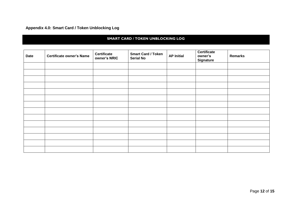# **Appendix 4.0: Smart Card / Token Unblocking Log**

#### **SMART CARD / TOKEN UNBLOCKING LOG**

<span id="page-11-0"></span>

| Date | <b>Certificate owner's Name</b> | <b>Certificate</b><br>owner's NRIC | <b>Smart Card / Token</b><br><b>Serial No</b> | <b>AP Initial</b> | Certificate<br>owner's<br><b>Signature</b> | <b>Remarks</b> |
|------|---------------------------------|------------------------------------|-----------------------------------------------|-------------------|--------------------------------------------|----------------|
|      |                                 |                                    |                                               |                   |                                            |                |
|      |                                 |                                    |                                               |                   |                                            |                |
|      |                                 |                                    |                                               |                   |                                            |                |
|      |                                 |                                    |                                               |                   |                                            |                |
|      |                                 |                                    |                                               |                   |                                            |                |
|      |                                 |                                    |                                               |                   |                                            |                |
|      |                                 |                                    |                                               |                   |                                            |                |
|      |                                 |                                    |                                               |                   |                                            |                |
|      |                                 |                                    |                                               |                   |                                            |                |
|      |                                 |                                    |                                               |                   |                                            |                |
|      |                                 |                                    |                                               |                   |                                            |                |
|      |                                 |                                    |                                               |                   |                                            |                |
|      |                                 |                                    |                                               |                   |                                            |                |
|      |                                 |                                    |                                               |                   |                                            |                |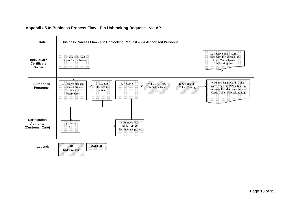<span id="page-12-0"></span>

#### **Appendix 5.0: Business Process Flow - Pin Unblocking Request – via AP**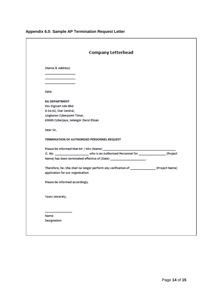| <b>Company Letterhead</b>                                                                     |  |
|-----------------------------------------------------------------------------------------------|--|
| (Name & Address)                                                                              |  |
|                                                                                               |  |
|                                                                                               |  |
|                                                                                               |  |
| Date:                                                                                         |  |
| <b>RA DEPARTMENT</b>                                                                          |  |
| Pos Digicert Sdn Bhd                                                                          |  |
| 8-3A-02, Star Central,                                                                        |  |
| Lingkaran Cyberpoint Timur,                                                                   |  |
| 63000 Cyberjaya, Selangor Darul Ehsan                                                         |  |
| Dear Sir,                                                                                     |  |
| TERMINATION OF AUTHORISED PERSONNEL REQUEST                                                   |  |
|                                                                                               |  |
|                                                                                               |  |
| Name) has been terminated effective of (Date) __________________________________              |  |
| Therefore, he /she shall no longer perform any verification of ________________(Project Name) |  |
| application for our organisation.                                                             |  |
| Please be informed accordingly.                                                               |  |
| Yours sincerely,                                                                              |  |
|                                                                                               |  |
|                                                                                               |  |
| Name:                                                                                         |  |

# <span id="page-13-0"></span>**Appendix 6.0: Sample AP Termination Request Letter**